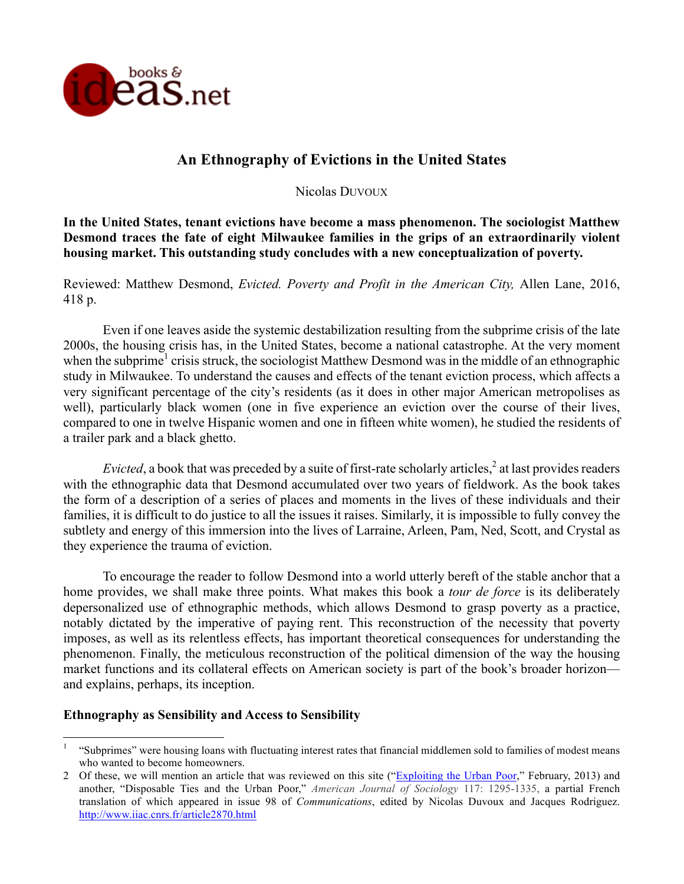

## **An Ethnography of Evictions in the United States**

Nicolas DUVOUX

**In the United States, tenant evictions have become a mass phenomenon. The sociologist Matthew Desmond traces the fate of eight Milwaukee families in the grips of an extraordinarily violent housing market. This outstanding study concludes with a new conceptualization of poverty.** 

Reviewed: Matthew Desmond, *Evicted. Poverty and Profit in the American City,* Allen Lane, 2016, 418 p.

Even if one leaves aside the systemic destabilization resulting from the subprime crisis of the late 2000s, the housing crisis has, in the United States, become a national catastrophe. At the very moment when the subprime<sup>1</sup> crisis struck, the sociologist Matthew Desmond was in the middle of an ethnographic study in Milwaukee. To understand the causes and effects of the tenant eviction process, which affects a very significant percentage of the city's residents (as it does in other major American metropolises as well), particularly black women (one in five experience an eviction over the course of their lives, compared to one in twelve Hispanic women and one in fifteen white women), he studied the residents of a trailer park and a black ghetto.

*Evicted*, a book that was preceded by a suite of first-rate scholarly articles,<sup>2</sup> at last provides readers with the ethnographic data that Desmond accumulated over two years of fieldwork. As the book takes the form of a description of a series of places and moments in the lives of these individuals and their families, it is difficult to do justice to all the issues it raises. Similarly, it is impossible to fully convey the subtlety and energy of this immersion into the lives of Larraine, Arleen, Pam, Ned, Scott, and Crystal as they experience the trauma of eviction.

To encourage the reader to follow Desmond into a world utterly bereft of the stable anchor that a home provides, we shall make three points. What makes this book a *tour de force* is its deliberately depersonalized use of ethnographic methods, which allows Desmond to grasp poverty as a practice, notably dictated by the imperative of paying rent. This reconstruction of the necessity that poverty imposes, as well as its relentless effects, has important theoretical consequences for understanding the phenomenon. Finally, the meticulous reconstruction of the political dimension of the way the housing market functions and its collateral effects on American society is part of the book's broader horizon and explains, perhaps, its inception.

## **Ethnography as Sensibility and Access to Sensibility**

<sup>&</sup>lt;sup>1</sup> "Subprimes" were housing loans with fluctuating interest rates that financial middlemen sold to families of modest means who wanted to become homeowners.

<sup>2</sup> Of these, we will mention an article that was reviewed on this site ("Exploiting the Urban Poor," February, 2013) and another, "Disposable Ties and the Urban Poor," *American Journal of Sociology* 117: 1295-1335, a partial French translation of which appeared in issue 98 of *Communications*, edited by Nicolas Duvoux and Jacques Rodriguez. http://www.iiac.cnrs.fr/article2870.html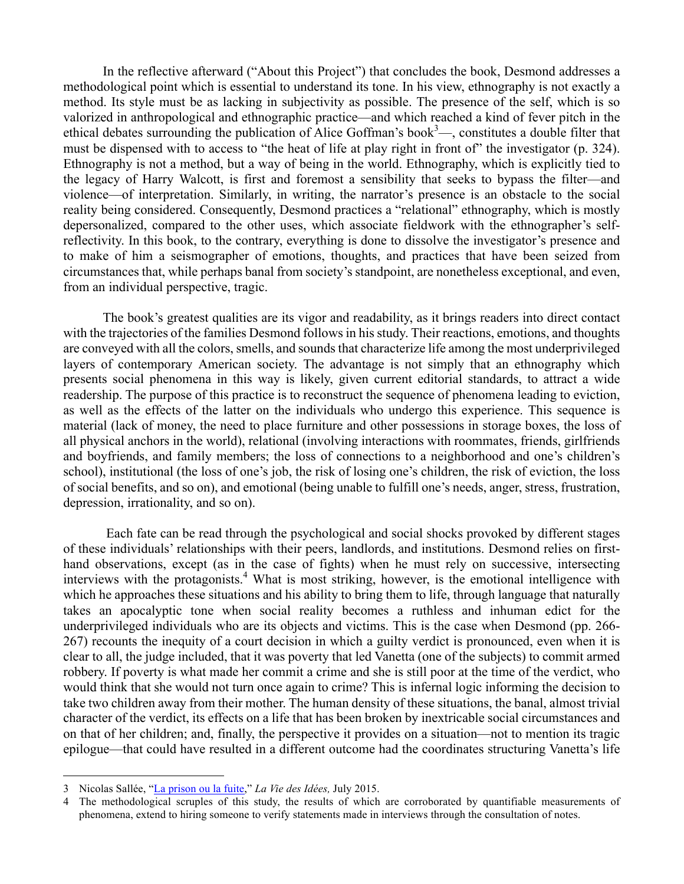In the reflective afterward ("About this Project") that concludes the book, Desmond addresses a methodological point which is essential to understand its tone. In his view, ethnography is not exactly a method. Its style must be as lacking in subjectivity as possible. The presence of the self, which is so valorized in anthropological and ethnographic practice—and which reached a kind of fever pitch in the ethical debates surrounding the publication of Alice Goffman's book $3$ —, constitutes a double filter that must be dispensed with to access to "the heat of life at play right in front of" the investigator (p. 324). Ethnography is not a method, but a way of being in the world. Ethnography, which is explicitly tied to the legacy of Harry Walcott, is first and foremost a sensibility that seeks to bypass the filter—and violence—of interpretation. Similarly, in writing, the narrator's presence is an obstacle to the social reality being considered. Consequently, Desmond practices a "relational" ethnography, which is mostly depersonalized, compared to the other uses, which associate fieldwork with the ethnographer's selfreflectivity. In this book, to the contrary, everything is done to dissolve the investigator's presence and to make of him a seismographer of emotions, thoughts, and practices that have been seized from circumstances that, while perhaps banal from society's standpoint, are nonetheless exceptional, and even, from an individual perspective, tragic.

The book's greatest qualities are its vigor and readability, as it brings readers into direct contact with the trajectories of the families Desmond follows in his study. Their reactions, emotions, and thoughts are conveyed with all the colors, smells, and sounds that characterize life among the most underprivileged layers of contemporary American society. The advantage is not simply that an ethnography which presents social phenomena in this way is likely, given current editorial standards, to attract a wide readership. The purpose of this practice is to reconstruct the sequence of phenomena leading to eviction, as well as the effects of the latter on the individuals who undergo this experience. This sequence is material (lack of money, the need to place furniture and other possessions in storage boxes, the loss of all physical anchors in the world), relational (involving interactions with roommates, friends, girlfriends and boyfriends, and family members; the loss of connections to a neighborhood and one's children's school), institutional (the loss of one's job, the risk of losing one's children, the risk of eviction, the loss of social benefits, and so on), and emotional (being unable to fulfill one's needs, anger, stress, frustration, depression, irrationality, and so on).

Each fate can be read through the psychological and social shocks provoked by different stages of these individuals' relationships with their peers, landlords, and institutions. Desmond relies on firsthand observations, except (as in the case of fights) when he must rely on successive, intersecting interviews with the protagonists.<sup>4</sup> What is most striking, however, is the emotional intelligence with which he approaches these situations and his ability to bring them to life, through language that naturally takes an apocalyptic tone when social reality becomes a ruthless and inhuman edict for the underprivileged individuals who are its objects and victims. This is the case when Desmond (pp. 266- 267) recounts the inequity of a court decision in which a guilty verdict is pronounced, even when it is clear to all, the judge included, that it was poverty that led Vanetta (one of the subjects) to commit armed robbery. If poverty is what made her commit a crime and she is still poor at the time of the verdict, who would think that she would not turn once again to crime? This is infernal logic informing the decision to take two children away from their mother. The human density of these situations, the banal, almost trivial character of the verdict, its effects on a life that has been broken by inextricable social circumstances and on that of her children; and, finally, the perspective it provides on a situation—not to mention its tragic epilogue—that could have resulted in a different outcome had the coordinates structuring Vanetta's life

 <sup>3</sup> Nicolas Sallée, "La prison ou la fuite," *La Vie des Idées,* July 2015.

The methodological scruples of this study, the results of which are corroborated by quantifiable measurements of phenomena, extend to hiring someone to verify statements made in interviews through the consultation of notes.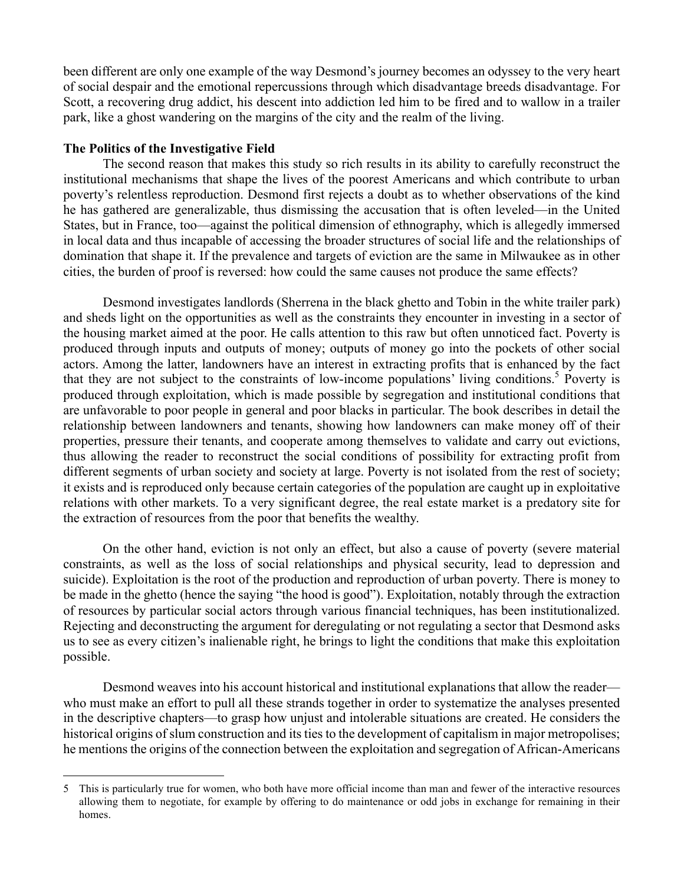been different are only one example of the way Desmond's journey becomes an odyssey to the very heart of social despair and the emotional repercussions through which disadvantage breeds disadvantage. For Scott, a recovering drug addict, his descent into addiction led him to be fired and to wallow in a trailer park, like a ghost wandering on the margins of the city and the realm of the living.

## **The Politics of the Investigative Field**

The second reason that makes this study so rich results in its ability to carefully reconstruct the institutional mechanisms that shape the lives of the poorest Americans and which contribute to urban poverty's relentless reproduction. Desmond first rejects a doubt as to whether observations of the kind he has gathered are generalizable, thus dismissing the accusation that is often leveled—in the United States, but in France, too—against the political dimension of ethnography, which is allegedly immersed in local data and thus incapable of accessing the broader structures of social life and the relationships of domination that shape it. If the prevalence and targets of eviction are the same in Milwaukee as in other cities, the burden of proof is reversed: how could the same causes not produce the same effects?

Desmond investigates landlords (Sherrena in the black ghetto and Tobin in the white trailer park) and sheds light on the opportunities as well as the constraints they encounter in investing in a sector of the housing market aimed at the poor. He calls attention to this raw but often unnoticed fact. Poverty is produced through inputs and outputs of money; outputs of money go into the pockets of other social actors. Among the latter, landowners have an interest in extracting profits that is enhanced by the fact that they are not subject to the constraints of low-income populations' living conditions. <sup>5</sup> Poverty is produced through exploitation, which is made possible by segregation and institutional conditions that are unfavorable to poor people in general and poor blacks in particular. The book describes in detail the relationship between landowners and tenants, showing how landowners can make money off of their properties, pressure their tenants, and cooperate among themselves to validate and carry out evictions, thus allowing the reader to reconstruct the social conditions of possibility for extracting profit from different segments of urban society and society at large. Poverty is not isolated from the rest of society; it exists and is reproduced only because certain categories of the population are caught up in exploitative relations with other markets. To a very significant degree, the real estate market is a predatory site for the extraction of resources from the poor that benefits the wealthy.

On the other hand, eviction is not only an effect, but also a cause of poverty (severe material constraints, as well as the loss of social relationships and physical security, lead to depression and suicide). Exploitation is the root of the production and reproduction of urban poverty. There is money to be made in the ghetto (hence the saying "the hood is good"). Exploitation, notably through the extraction of resources by particular social actors through various financial techniques, has been institutionalized. Rejecting and deconstructing the argument for deregulating or not regulating a sector that Desmond asks us to see as every citizen's inalienable right, he brings to light the conditions that make this exploitation possible.

Desmond weaves into his account historical and institutional explanations that allow the reader who must make an effort to pull all these strands together in order to systematize the analyses presented in the descriptive chapters—to grasp how unjust and intolerable situations are created. He considers the historical origins of slum construction and its ties to the development of capitalism in major metropolises; he mentions the origins of the connection between the exploitation and segregation of African-Americans

 <sup>5</sup> This is particularly true for women, who both have more official income than man and fewer of the interactive resources allowing them to negotiate, for example by offering to do maintenance or odd jobs in exchange for remaining in their homes.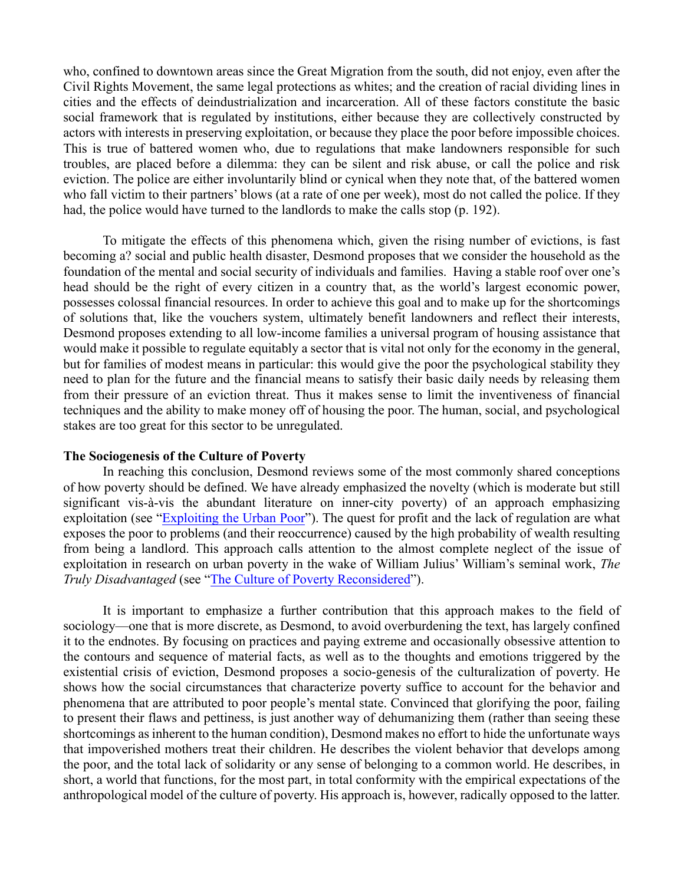who, confined to downtown areas since the Great Migration from the south, did not enjoy, even after the Civil Rights Movement, the same legal protections as whites; and the creation of racial dividing lines in cities and the effects of deindustrialization and incarceration. All of these factors constitute the basic social framework that is regulated by institutions, either because they are collectively constructed by actors with interests in preserving exploitation, or because they place the poor before impossible choices. This is true of battered women who, due to regulations that make landowners responsible for such troubles, are placed before a dilemma: they can be silent and risk abuse, or call the police and risk eviction. The police are either involuntarily blind or cynical when they note that, of the battered women who fall victim to their partners' blows (at a rate of one per week), most do not called the police. If they had, the police would have turned to the landlords to make the calls stop (p. 192).

To mitigate the effects of this phenomena which, given the rising number of evictions, is fast becoming a? social and public health disaster, Desmond proposes that we consider the household as the foundation of the mental and social security of individuals and families. Having a stable roof over one's head should be the right of every citizen in a country that, as the world's largest economic power, possesses colossal financial resources. In order to achieve this goal and to make up for the shortcomings of solutions that, like the vouchers system, ultimately benefit landowners and reflect their interests, Desmond proposes extending to all low-income families a universal program of housing assistance that would make it possible to regulate equitably a sector that is vital not only for the economy in the general, but for families of modest means in particular: this would give the poor the psychological stability they need to plan for the future and the financial means to satisfy their basic daily needs by releasing them from their pressure of an eviction threat. Thus it makes sense to limit the inventiveness of financial techniques and the ability to make money off of housing the poor. The human, social, and psychological stakes are too great for this sector to be unregulated.

## **The Sociogenesis of the Culture of Poverty**

In reaching this conclusion, Desmond reviews some of the most commonly shared conceptions of how poverty should be defined. We have already emphasized the novelty (which is moderate but still significant vis-à-vis the abundant literature on inner-city poverty) of an approach emphasizing exploitation (see "Exploiting the Urban Poor"). The quest for profit and the lack of regulation are what exposes the poor to problems (and their reoccurrence) caused by the high probability of wealth resulting from being a landlord. This approach calls attention to the almost complete neglect of the issue of exploitation in research on urban poverty in the wake of William Julius' William's seminal work, *The Truly Disadvantaged* (see "The Culture of Poverty Reconsidered").

It is important to emphasize a further contribution that this approach makes to the field of sociology—one that is more discrete, as Desmond, to avoid overburdening the text, has largely confined it to the endnotes. By focusing on practices and paying extreme and occasionally obsessive attention to the contours and sequence of material facts, as well as to the thoughts and emotions triggered by the existential crisis of eviction, Desmond proposes a socio-genesis of the culturalization of poverty. He shows how the social circumstances that characterize poverty suffice to account for the behavior and phenomena that are attributed to poor people's mental state. Convinced that glorifying the poor, failing to present their flaws and pettiness, is just another way of dehumanizing them (rather than seeing these shortcomings as inherent to the human condition), Desmond makes no effort to hide the unfortunate ways that impoverished mothers treat their children. He describes the violent behavior that develops among the poor, and the total lack of solidarity or any sense of belonging to a common world. He describes, in short, a world that functions, for the most part, in total conformity with the empirical expectations of the anthropological model of the culture of poverty. His approach is, however, radically opposed to the latter.